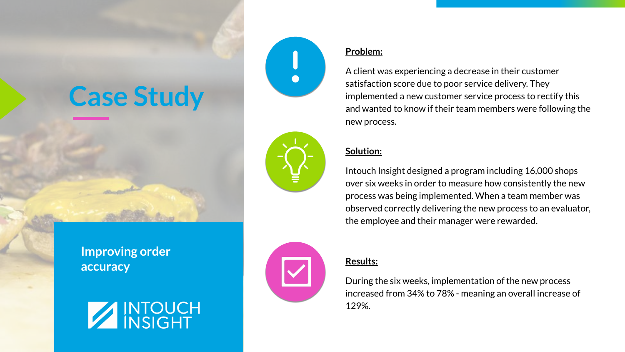# **Case Study**



**Improving order accuracy**





#### **Problem:**

A client was experiencing a decrease in their customer satisfaction score due to poor service delivery. They implemented a new customer service process to rectify this and wanted to know if their team members were following the new process.

### **Solution:**

Intouch Insight designed a program including 16,000 shops over six weeks in order to measure how consistently the new process was being implemented. When a team member was observed correctly delivering the new process to an evaluator, the employee and their manager were rewarded.

#### **Results:**

During the six weeks, implementation of the new process increased from 34% to 78% - meaning an overall increase of 129%.